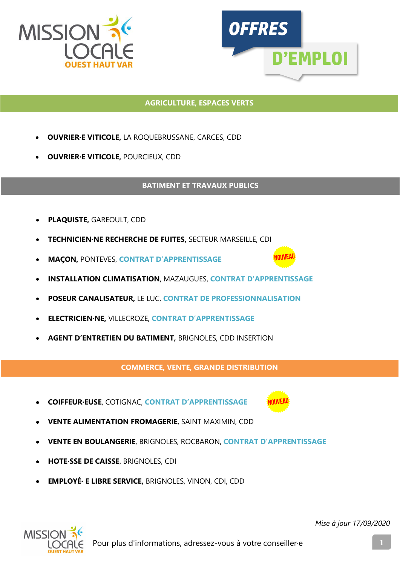



#### **AGRICULTURE, ESPACES VERTS**

- **OUVRIER·E VITICOLE,** LA ROQUEBRUSSANE, CARCES, CDD
- **OUVRIER·E VITICOLE,** POURCIEUX, CDD

#### **BATIMENT ET TRAVAUX PUBLICS**

- **PLAQUISTE,** GAREOULT, CDD
- **TECHNICIEN·NE RECHERCHE DE FUITES,** SECTEUR MARSEILLE, CDI
- **MAÇON,** PONTEVES, **CONTRAT D'APPRENTISSAGE**
- **INSTALLATION CLIMATISATION**, MAZAUGUES, **CONTRAT D'APPRENTISSAGE**
- **POSEUR CANALISATEUR,** LE LUC, **CONTRAT DE PROFESSIONNALISATION**
- **ELECTRICIEN·NE,** VILLECROZE, **CONTRAT D'APPRENTISSAGE**
- **AGENT D'ENTRETIEN DU BATIMENT,** BRIGNOLES, CDD INSERTION

**COMMERCE, VENTE, GRANDE DISTRIBUTION**

- **COIFFEUR·EUSE**, COTIGNAC, **CONTRAT D'APPRENTISSAGE**
- **VENTE ALIMENTATION FROMAGERIE**, SAINT MAXIMIN, CDD
- **VENTE EN BOULANGERIE**, BRIGNOLES, ROCBARON, **CONTRAT D'APPRENTISSAGE**
- **HOTE·SSE DE CAISSE**, BRIGNOLES, CDI
- **EMPLOYÉ· E LIBRE SERVICE,** BRIGNOLES, VINON, CDI, CDD

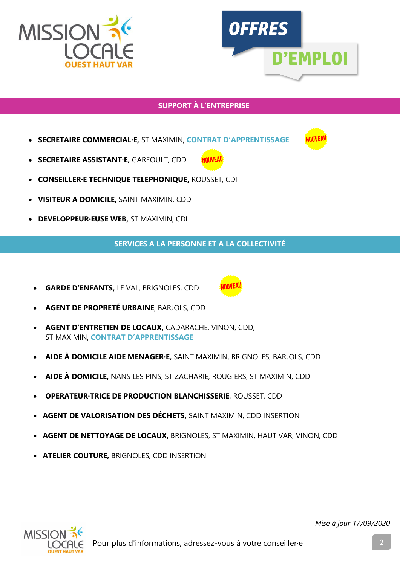



# **SUPPORT À L'ENTREPRISE**

- **SECRETAIRE COMMERCIAL·E,** ST MAXIMIN, **CONTRAT D'APPRENTISSAGE**
- **SECRETAIRE ASSISTANT·E,** GAREOULT, CDD
- **CONSEILLER·E TECHNIQUE TELEPHONIQUE,** ROUSSET, CDI
- **VISITEUR A DOMICILE,** SAINT MAXIMIN, CDD
- **DEVELOPPEUR·EUSE WEB,** ST MAXIMIN, CDI

**SERVICES A LA PERSONNE ET A LA COLLECTIVITÉ**

• **GARDE D'ENFANTS,** LE VAL, BRIGNOLES, CDD



- **AGENT D'ENTRETIEN DE LOCAUX,** CADARACHE, VINON, CDD, ST MAXIMIN, **CONTRAT D'APPRENTISSAGE**
- **AIDE À DOMICILE AIDE MENAGER·E,** SAINT MAXIMIN, BRIGNOLES, BARJOLS, CDD
- **AIDE À DOMICILE,** NANS LES PINS, ST ZACHARIE, ROUGIERS, ST MAXIMIN, CDD
- **OPERATEUR·TRICE DE PRODUCTION BLANCHISSERIE**, ROUSSET, CDD
- **AGENT DE VALORISATION DES DÉCHETS,** SAINT MAXIMIN, CDD INSERTION
- **AGENT DE NETTOYAGE DE LOCAUX,** BRIGNOLES, ST MAXIMIN, HAUT VAR, VINON, CDD
- **ATELIER COUTURE,** BRIGNOLES, CDD INSERTION

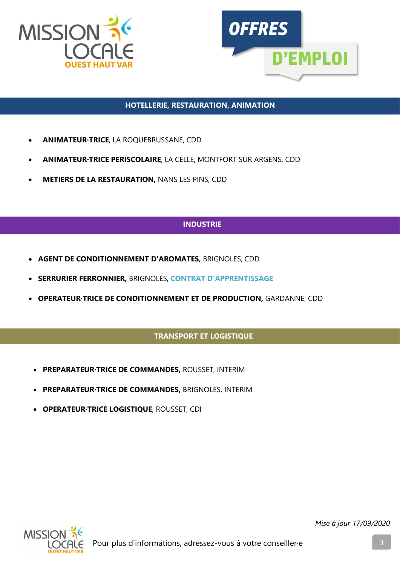



### **HOTELLERIE, RESTAURATION, ANIMATION**

- **ANIMATEUR·TRICE**, LA ROQUEBRUSSANE, CDD
- **ANIMATEUR·TRICE PERISCOLAIRE**, LA CELLE, MONTFORT SUR ARGENS, CDD
- **METIERS DE LA RESTAURATION,** NANS LES PINS, CDD

# **INDUSTRIE**

- **AGENT DE CONDITIONNEMENT D'AROMATES,** BRIGNOLES, CDD
- **SERRURIER FERRONNIER,** BRIGNOLES, **CONTRAT D'APPRENTISSAGE**
- **OPERATEUR·TRICE DE CONDITIONNEMENT ET DE PRODUCTION,** GARDANNE, CDD

## **TRANSPORT ET LOGISTIQUE**

- **PREPARATEUR·TRICE DE COMMANDES,** ROUSSET, INTERIM
- **PREPARATEUR·TRICE DE COMMANDES,** BRIGNOLES, INTERIM
- **OPERATEUR·TRICE LOGISTIQUE**, ROUSSET, CDI